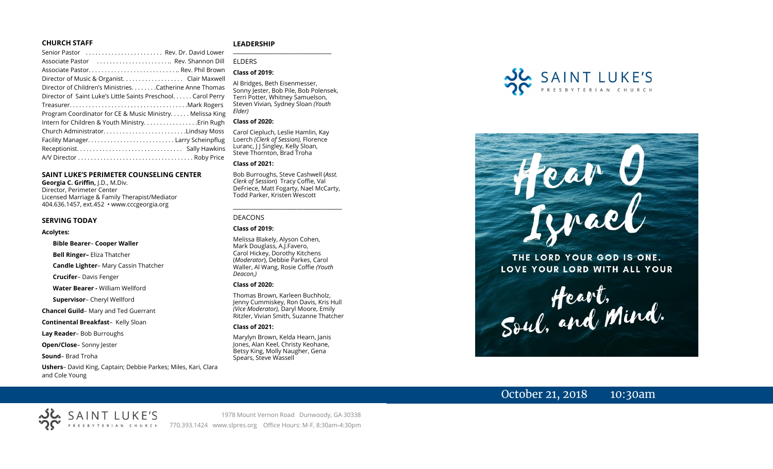#### **CHURCH STAFF**

| Senior Pastor  Rev. Dr. David Lower                          |
|--------------------------------------------------------------|
| Associate Pastor  Rev. Shannon Dill                          |
|                                                              |
| Director of Music & Organist. Clair Maxwell                  |
| Director of Children's Ministries. Catherine Anne Thomas     |
| Director of Saint Luke's Little Saints Preschool Carol Perry |
|                                                              |
| Program Coordinator for CE & Music Ministry Melissa King     |
| Intern for Children & Youth MinistryErin Rugh                |
| Church AdministratorLindsay Moss                             |
|                                                              |
|                                                              |
|                                                              |

#### **SAINT LUKE'S PERIMETER COUNSELING CENTER**

**Georgia C. Griffin,** J.D., M.Div. Director, Perimeter Center Licensed Marriage & Family Therapist/Mediator 404.636.1457, ext.452 • www.cccgeorgia.org

#### **SERVING TODAY**

#### **Acolytes:**

#### **Bible Bearer**– **Cooper Waller**

**Bell Ringer–** Eliza Thatcher

**Candle Lighter**– Mary Cassin Thatcher

**Crucifer**– Davis Fenger

**Water Bearer -** William Wellford

**Supervisor**– Cheryl Wellford

**Chancel Guild**– Mary and Ted Guerrant

**Continental Breakfast**–Kelly Sloan

**Lay Reader**– Bob Burroughs

**Open/Close**– Sonny Jester

**Sound**– Brad Troha

**Ushers**– David King, Captain; Debbie Parkes; Miles, Kari, Clara and Cole Young

#### **LEADERSHIP**

ELDERS

#### **Class of 2019:**

Al Bridges, Beth Eisenmesser, Sonny Jester, Bob Pile, Bob Polensek, Terri Potter, Whitney Samuelson, Steven Vivian*,* Sydney Sloan *(Youth Elder)*

**\_\_\_\_\_\_\_\_\_\_\_\_\_\_\_\_\_\_\_\_\_\_\_\_\_\_\_\_\_\_\_\_\_\_\_\_\_\_\_**

#### **Class of 2020:**

Carol Ciepluch, Leslie Hamlin, Kay Loerch *(Clerk of Session),* Florence Luranc, J J Singley, Kelly Sloan, Steve Thornton, Brad Troha

#### **Class of 2021:**

Bob Burroughs, Steve Cashwell (*Asst. Clerk of Session*) Tracy Coffie, Val DeFriece, Matt Fogarty, Nael McCarty, Todd Parker, Kristen Wescott

\_\_\_\_\_\_\_\_\_\_\_\_\_\_\_\_\_\_\_\_\_\_\_\_\_\_\_\_\_\_\_\_\_\_\_\_

#### DEACONS

#### **Class of 2019:**

Melissa Blakely, Alyson Cohen, Mark Douglass, A.J.Favero, Carol Hickey, Dorothy Kitchens (*Moderator*), Debbie Parkes, Carol Waller, Al Wang, Rosie Coffie *(Youth Deacon,)* 

#### **Class of 2020:**

Thomas Brown, Karleen Buchholz, Jenny Cummiskey, Ron Davis, Kris Hull *(Vice Moderator),* Daryl Moore, Emily Ritzler, Vivian Smith, Suzanne Thatcher

#### **Class of 2021:**

Marylyn Brown, Kelda Hearn, Janis Jones, Alan Keel, Christy Keohane, Betsy King, Molly Naugher, Gena Spears, Steve Wassell





THE LORD YOUR GOD IS ONE. LOVE YOUR LORD WITH ALL YOUR

Heart,<br>Soul, and Mind.

# October 21, 2018 10:30am

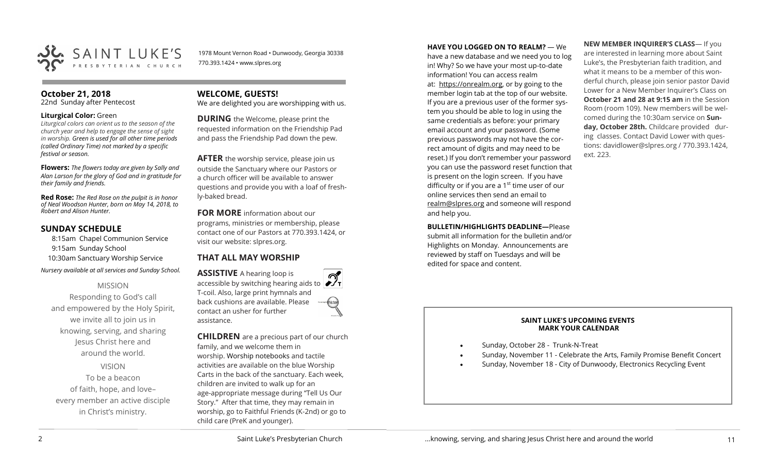

1978 Mount Vernon Road • Dunwoody, Georgia 30338 770.393.1424 • www.slpres.org

#### **October 21, 2018**

22nd Sunday after Pentecost

#### **Liturgical Color:** Green

*Liturgical colors can orient us to the season of the church year and help to engage the sense of sight in worship. Green is used for all other time periods (called Ordinary Time) not marked by a specific festival or season.*

**Flowers:** *The flowers today are given by Sally and Alan Larson for the glory of God and in gratitude for their family and friends.*

**Red Rose:** *The Red Rose on the pulpit is in honor of Neal Woodson Hunter, born on May 14, 2018, to Robert and Alison Hunter.*

#### **SUNDAY SCHEDULE**

8:15am Chapel Communion Service 9:15am Sunday School 10:30am Sanctuary Worship Service *Nursery available at all services and Sunday School.* 

#### MISSION

Responding to God's call and empowered by the Holy Spirit, we invite all to join us in knowing, serving, and sharing Jesus Christ here and around the world. VISION

To be a beacon of faith, hope, and love– every member an active disciple in Christ's ministry.

### **WELCOME, GUESTS!**

We are delighted you are worshipping with us.

**DURING** the Welcome, please print the requested information on the Friendship Pad and pass the Friendship Pad down the pew.

**AFTER** the worship service, please join us outside the Sanctuary where our Pastors or a church officer will be available to answer questions and provide you with a loaf of freshly-baked bread.

**FOR MORE** information about our programs, ministries or membership, please contact one of our Pastors at 770.393.1424, or visit our website: slpres.org.

# **THAT ALL MAY WORSHIP**

**ASSISTIVE** A hearing loop is accessible by switching hearing aids to T-coil. Also, large print hymnals and back cushions are available. Please contact an usher for further assistance.

**CHILDREN** are a precious part of our church family, and we welcome them in worship. Worship notebooks and tactile activities are available on the blue Worship Carts in the back of the sanctuary. Each week, children are invited to walk up for an age-appropriate message during "Tell Us Our Story." After that time, they may remain in worship, go to Faithful Friends (K-2nd) or go to child care (PreK and younger).

#### **HAVE YOU LOGGED ON TO REALM?** — We

have a new database and we need you to log in! Why? So we have your most up-to-date information! You can access realm at: [https://onrealm.org,](https://onrealm.org) or by going to the member login tab at the top of our website. If you are a previous user of the former system you should be able to log in using the same credentials as before: your primary email account and your password. (Some previous passwords may not have the correct amount of digits and may need to be reset.) If you don't remember your password you can use the password reset function that is present on the login screen. If you have difficulty or if you are a  $1<sup>st</sup>$  time user of our online services then send an email to [realm@slpres.org](mailto:realm@slpres.org) and someone will respond and help you.

**BULLETIN/HIGHLIGHTS DEADLINE—Please** 

submit all information for the bulletin and/or Highlights on Monday. Announcements are reviewed by staff on Tuesdays and will be edited for space and content.

**NEW MEMBER INQUIRER'S CLASS**— If you are interested in learning more about Saint Luke's, the Presbyterian faith tradition, and what it means to be a member of this wonderful church, please join senior pastor David Lower for a New Member Inquirer's Class on **October 21 and 28 at 9:15 am** in the Session Room (room 109). New members will be welcomed during the 10:30am service on **Sunday, October 28th.** Childcare provided during classes. Contact David Lower with questions: davidlower@slpres.org / 770.393.1424, ext. 223.

#### **SAINT LUKE'S UPCOMING EVENTS MARK YOUR CALENDAR**

- Sunday, October 28 Trunk-N-Treat
- Sunday, November 11 Celebrate the Arts, Family Promise Benefit Concert
- Sunday, November 18 City of Dunwoody, Electronics Recycling Event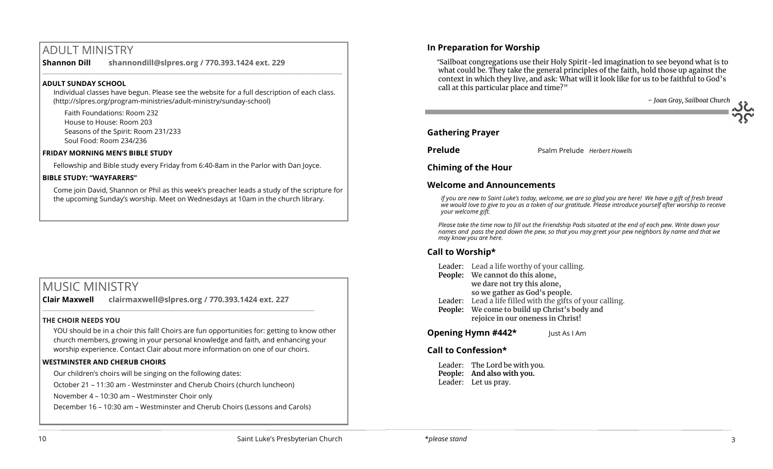# ADULT MINISTRY

**Shannon Dill shannondill@slpres.org / 770.393.1424 ext. 229**   $\_$  ,  $\_$  ,  $\_$  ,  $\_$  ,  $\_$  ,  $\_$  ,  $\_$  ,  $\_$  ,  $\_$  ,  $\_$  ,  $\_$  ,  $\_$  ,  $\_$  ,  $\_$  ,  $\_$  ,  $\_$  ,  $\_$  ,  $\_$  ,  $\_$  ,  $\_$ 

#### **ADULT SUNDAY SCHOOL**

Individual classes have begun. Please see the website for a full description of each class. (http://slpres.org/program-ministries/adult-ministry/sunday-school)

Faith Foundations: Room 232 House to House: Room 203 Seasons of the Spirit: Room 231/233 Soul Food: Room 234/236

#### **FRIDAY MORNING MEN'S BIBLE STUDY**

Fellowship and Bible study every Friday from 6:40-8am in the Parlor with Dan Joyce.

#### **BIBLE STUDY: "WAYFARERS"**

Come join David, Shannon or Phil as this week's preacher leads a study of the scripture for the upcoming Sunday's worship. Meet on Wednesdays at 10am in the church library.

# MUSIC MINISTRY

**Clair Maxwell clairmaxwell@slpres.org / 770.393.1424 ext. 227** 

 $\_$  , and the set of the set of the set of the set of the set of the set of the set of the set of the set of the set of the set of the set of the set of the set of the set of the set of the set of the set of the set of th

#### **THE CHOIR NEEDS YOU**

YOU should be in a choir this fall! Choirs are fun opportunities for: getting to know other church members, growing in your personal knowledge and faith, and enhancing your worship experience. Contact Clair about more information on one of our choirs.

#### **WESTMINSTER AND CHERUB CHOIRS**

Our children's choirs will be singing on the following dates:

October 21 – 11:30 am - Westminster and Cherub Choirs (church luncheon)

November 4 – 10:30 am – Westminster Choir only

December 16 – 10:30 am – Westminster and Cherub Choirs (Lessons and Carols)

# **In Preparation for Worship**

 "Sailboat congregations use their Holy Spirit-led imagination to see beyond what is to what could be. They take the general principles of the faith, hold those up against the context in which they live, and ask: What will it look like for us to be faithful to God's call at this particular place and time?"

- *Joan Gray, Sailboat Church*

### **Gathering Prayer**

**Prelude Prelude Psalm Prelude** *Herbert Howells* 

### **Chiming of the Hour**

# **Welcome and Announcements**

*If you are new to Saint Luke's today, welcome, we are so glad you are here! We have a gift of fresh bread we would love to give to you as a token of our gratitude. Please introduce yourself after worship to receive your welcome gift.*

*Please take the time now to fill out the Friendship Pads situated at the end of each pew. Write down your names and pass the pad down the pew, so that you may greet your pew neighbors by name and that we may know you are here.*

# **Call to Worship\***

- Leader: Lead a life worthy of your calling.
- **People: We cannot do this alone, we dare not try this alone, so we gather as God's people.**
- Leader: Lead a life filled with the gifts of your calling.
- **People: We come to build up Christ's body and rejoice in our oneness in Christ!**

**Opening Hymn #442\*** Just As I Am

# **Call to Confession\***

Leader: The Lord be with you. **People: And also with you.** Leader: Let us pray.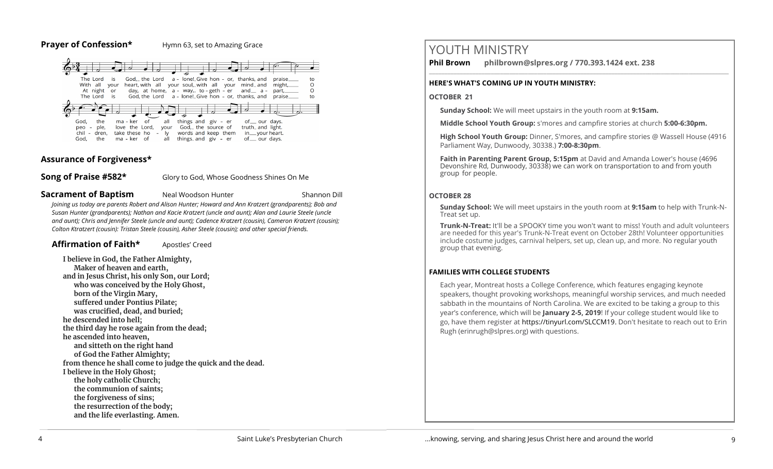#### **Prayer of Confession\*** Hymn 63, set to Amazing Grace



# **Assurance of Forgiveness\***

**Song of Praise #582\*** Glory to God, Whose Goodness Shines On Me

**Sacrament of Baptism** Neal Woodson Hunter **Neal Shannon Dill** 

*Joining us today are parents Robert and Alison Hunter; Howard and Ann Kratzert (grandparents); Bob and Susan Hunter (grandparents); Nathan and Kacie Kratzert (uncle and aunt); Alan and Laurie Steele (uncle and aunt); Chris and Jennifer Steele (uncle and aunt); Cadence Kratzert (cousin), Cameron Kratzert (cousin); Colton Ktratzert (cousin): Tristan Steele (cousin), Asher Steele (cousin); and other special friends.*

# Affirmation of Faith\* **Apostles'** Creed

**I believe in God, the Father Almighty, Maker of heaven and earth, and in Jesus Christ, his only Son, our Lord; who was conceived by the Holy Ghost, born of the Virgin Mary, suffered under Pontius Pilate; was crucified, dead, and buried; he descended into hell; the third day he rose again from the dead; he ascended into heaven, and sitteth on the right hand of God the Father Almighty; from thence he shall come to judge the quick and the dead. I believe in the Holy Ghost; the holy catholic Church; the communion of saints; the forgiveness of sins; the resurrection of the body; and the life everlasting. Amen.**

# YOUTH MINISTRY

**Phil Brown philbrown@slpres.org / 770.393.1424 ext. 238** 

#### **HERE'S WHAT'S COMING UP IN YOUTH MINISTRY:**

#### **OCTOBER 21**

**Sunday School:** We will meet upstairs in the youth room at **9:15am.**

**Middle School Youth Group:** s'mores and campfire stories at church **5:00-6:30pm.**

 $\_$  ,  $\_$  ,  $\_$  ,  $\_$  ,  $\_$  ,  $\_$  ,  $\_$  ,  $\_$  ,  $\_$  ,  $\_$  ,  $\_$  ,  $\_$  ,  $\_$  ,  $\_$  ,  $\_$  ,  $\_$  ,  $\_$  ,  $\_$  ,  $\_$  ,  $\_$ 

**High School Youth Group:** Dinner, S'mores, and campfire stories @ Wassell House (4916 Parliament Way, Dunwoody, 30338.) **7:00-8:30pm**.

**Faith in Parenting Parent Group, 5:15pm** at David and Amanda Lower's house (4696 Devonshire Rd, Dunwoody, 30338) we can work on transportation to and from youth group for people.

# **OCTOBER 28**

**Sunday School:** We will meet upstairs in the youth room at **9:15am** to help with Trunk-N-Treat set up.

**Trunk-N-Treat:** It'll be a SPOOKY time you won't want to miss! Youth and adult volunteers are needed for this year's Trunk-N-Treat event on October 28th! Volunteer opportunities include costume judges, carnival helpers, set up, clean up, and more. No regular youth group that evening.

# **FAMILIES WITH COLLEGE STUDENTS**

Each year, Montreat hosts a College Conference, which features engaging keynote speakers, thought provoking workshops, meaningful worship services, and much needed sabbath in the mountains of North Carolina. We are excited to be taking a group to this year's conference, which will be **January 2-5, 2019**! If your college student would like to go, have them register at [https://tinyurl.com/SLCCM19.](https://tinyurl.com/SLCCM19) Don't hesitate to reach out to Erin Rugh (erinrugh@slpres.org) with questions.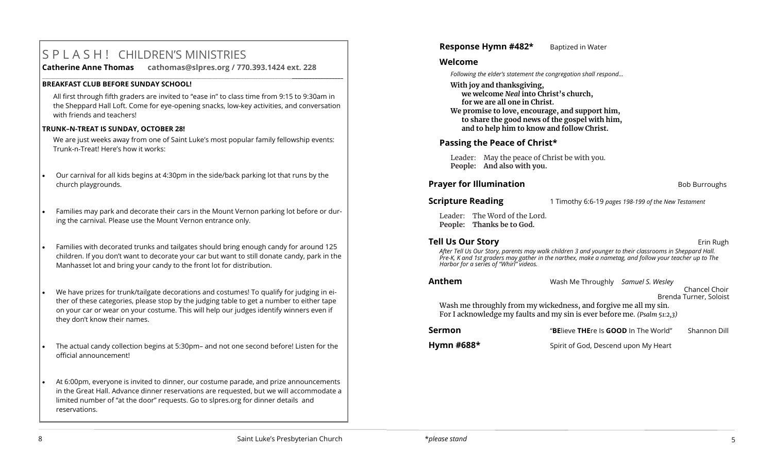# S P L A S H ! CHILDREN'S MINISTRIES

**Catherine Anne Thomas cathomas@slpres.org / 770.393.1424 ext. 228 \_\_\_\_\_\_\_\_\_\_\_\_\_\_\_\_\_\_\_\_\_\_\_\_\_\_\_\_\_\_\_\_\_\_\_\_\_\_\_\_\_\_\_\_\_\_\_\_\_\_\_\_\_\_\_\_\_\_\_\_\_\_\_\_\_\_\_\_\_\_\_\_\_\_\_\_\_\_\_\_\_\_\_\_\_\_\_\_\_\_\_\_\_\_\_\_\_\_\_\_\_\_\_\_\_\_** 

#### **BREAKFAST CLUB BEFORE SUNDAY SCHOOL!**

All first through fifth graders are invited to "ease in" to class time from 9:15 to 9:30am in the Sheppard Hall Loft. Come for eye-opening snacks, low-key activities, and conversation with friends and teachers!

#### **TRUNK–N-TREAT IS SUNDAY, OCTOBER 28!**

We are just weeks away from one of Saint Luke's most popular family fellowship events: Trunk-n-Treat! Here's how it works:

- Our carnival for all kids begins at 4:30pm in the side/back parking lot that runs by the church playgrounds.
- Families may park and decorate their cars in the Mount Vernon parking lot before or during the carnival. Please use the Mount Vernon entrance only.
- Families with decorated trunks and tailgates should bring enough candy for around 125 children. If you don't want to decorate your car but want to still donate candy, park in the Manhasset lot and bring your candy to the front lot for distribution.
- We have prizes for trunk/tailgate decorations and costumes! To qualify for judging in either of these categories, please stop by the judging table to get a number to either tape on your car or wear on your costume. This will help our judges identify winners even if they don't know their names.
- The actual candy collection begins at 5:30pm– and not one second before! Listen for the official announcement!
- At 6:00pm, everyone is invited to dinner, our costume parade, and prize announcements in the Great Hall. Advance dinner reservations are requested, but we will accommodate a limited number of "at the door" requests. Go to slpres.org for dinner details and reservations.

# **Response Hymn #482\*** Baptized in Water

#### **Welcome**

*Following the elder's statement the congregation shall respond...*

**With joy and thanksgiving, we welcome** *Neal* **into Christ's church, for we are all one in Christ.**

**We promise to love, encourage, and support him, to share the good news of the gospel with him, and to help him to know and follow Christ.**

# **Passing the Peace of Christ\***

Leader: May the peace of Christ be with you. **People: And also with you.**

# **Prayer for Illumination Bob Burroughs Bob Burroughs**

**Scripture Reading** 1 Timothy 6:6-19 *pages 198-199 of the New Testament*

Leader: The Word of the Lord. **People: Thanks be to God.** 

# **Tell Us Our Story Example 2018 Example 2018 Example 2019 Example 2019 Erin Rugh**

*After Tell Us Our Story, parents may walk children 3 and younger to their classrooms in Sheppard Hall. Pre-K, K and 1st graders may gather in the narthex, make a nametag, and follow your teacher up to The Harbor for a series of "Whirl" videos.*

**Anthem** Wash Me Throughly *Samuel S. Wesley* Chancel Choir Brenda Turner, Soloist

Wash me throughly from my wickedness, and forgive me all my sin. For I acknowledge my faults and my sin is ever before me. *(Psalm 51:2,3)*

| Sermon     | "BElieve THEre Is GOOD In The World" | Shannon Dill |
|------------|--------------------------------------|--------------|
| Hymn #688* | Spirit of God, Descend upon My Heart |              |